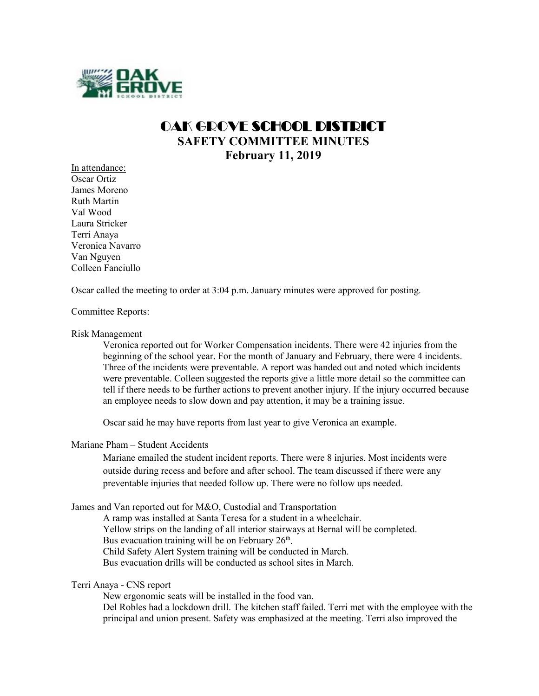

# OAK GROVE SCHOOL DISTRICT **SAFETY COMMITTEE MINUTES February 11, 2019**

In attendance: Oscar Ortiz James Moreno Ruth Martin Val Wood Laura Stricker Terri Anaya Veronica Navarro Van Nguyen Colleen Fanciullo

Oscar called the meeting to order at 3:04 p.m. January minutes were approved for posting.

#### Committee Reports:

#### Risk Management

Veronica reported out for Worker Compensation incidents. There were 42 injuries from the beginning of the school year. For the month of January and February, there were 4 incidents. Three of the incidents were preventable. A report was handed out and noted which incidents were preventable. Colleen suggested the reports give a little more detail so the committee can tell if there needs to be further actions to prevent another injury. If the injury occurred because an employee needs to slow down and pay attention, it may be a training issue.

Oscar said he may have reports from last year to give Veronica an example.

## Mariane Pham – Student Accidents

Mariane emailed the student incident reports. There were 8 injuries. Most incidents were outside during recess and before and after school. The team discussed if there were any preventable injuries that needed follow up. There were no follow ups needed.

James and Van reported out for M&O, Custodial and Transportation

A ramp was installed at Santa Teresa for a student in a wheelchair. Yellow strips on the landing of all interior stairways at Bernal will be completed. Bus evacuation training will be on February  $26<sup>th</sup>$ . Child Safety Alert System training will be conducted in March. Bus evacuation drills will be conducted as school sites in March.

#### Terri Anaya - CNS report

New ergonomic seats will be installed in the food van.

Del Robles had a lockdown drill. The kitchen staff failed. Terri met with the employee with the principal and union present. Safety was emphasized at the meeting. Terri also improved the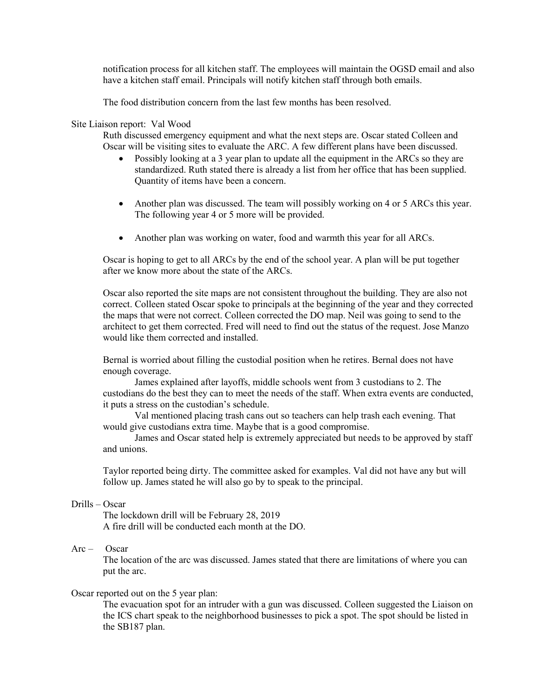notification process for all kitchen staff. The employees will maintain the OGSD email and also have a kitchen staff email. Principals will notify kitchen staff through both emails.

The food distribution concern from the last few months has been resolved.

## Site Liaison report: Val Wood

Ruth discussed emergency equipment and what the next steps are. Oscar stated Colleen and Oscar will be visiting sites to evaluate the ARC. A few different plans have been discussed.

- Possibly looking at a 3 year plan to update all the equipment in the ARCs so they are standardized. Ruth stated there is already a list from her office that has been supplied. Quantity of items have been a concern.
- Another plan was discussed. The team will possibly working on 4 or 5 ARCs this year. The following year 4 or 5 more will be provided.
- Another plan was working on water, food and warmth this year for all ARCs.

Oscar is hoping to get to all ARCs by the end of the school year. A plan will be put together after we know more about the state of the ARCs.

Oscar also reported the site maps are not consistent throughout the building. They are also not correct. Colleen stated Oscar spoke to principals at the beginning of the year and they corrected the maps that were not correct. Colleen corrected the DO map. Neil was going to send to the architect to get them corrected. Fred will need to find out the status of the request. Jose Manzo would like them corrected and installed.

Bernal is worried about filling the custodial position when he retires. Bernal does not have enough coverage.

James explained after layoffs, middle schools went from 3 custodians to 2. The custodians do the best they can to meet the needs of the staff. When extra events are conducted, it puts a stress on the custodian's schedule.

Val mentioned placing trash cans out so teachers can help trash each evening. That would give custodians extra time. Maybe that is a good compromise.

James and Oscar stated help is extremely appreciated but needs to be approved by staff and unions.

Taylor reported being dirty. The committee asked for examples. Val did not have any but will follow up. James stated he will also go by to speak to the principal.

## Drills – Oscar

The lockdown drill will be February 28, 2019 A fire drill will be conducted each month at the DO.

## $Arc - Oscar$

The location of the arc was discussed. James stated that there are limitations of where you can put the arc.

#### Oscar reported out on the 5 year plan:

The evacuation spot for an intruder with a gun was discussed. Colleen suggested the Liaison on the ICS chart speak to the neighborhood businesses to pick a spot. The spot should be listed in the SB187 plan.